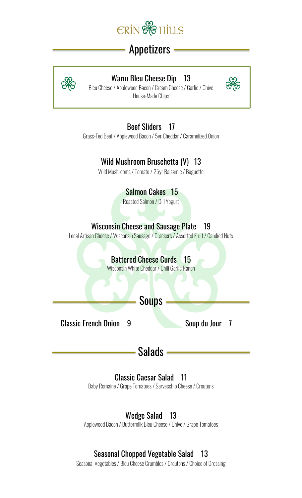

# Appetizers



### Warm Bleu Cheese Dip 13

Bleu Cheese/ Applewood Bacon/ Cream Cheese/ Garlic / Chive House-Made Chips



Beef Sliders 17

Grass-Fed Beef / Applewood Bacon/ 5yr Cheddar / Caramelized Onion

## Wild Mushroom Bruschetta (V) 13

Wild Mushrooms / Tomato / 25yr Balsamic / Baguette

Salmon Cakes 15

Roasted Salmon / Dill Yogurt

### Wisconsin Cheese and Sausage Plate 19

Local Artisan Cheese / Wisconsin Sausage / Crackers / Assorted Fruit / Candied Nuts

### Battered Cheese Curds 15

Wisconsin White Cheddar / Chili Garlic Ranch

**Soups** 

Classic French Onion 9 Soup du Jour 7

Salads -

### Classic Caesar Salad 11

Baby Romaine/ Grape Tomatoes / Sarvecchio Cheese/ Croutons

### Wedge Salad 13

Applewood Bacon/ Buttermilk Bleu Cheese/ Chive/ Grape Tomatoes

### Seasonal Chopped Vegetable Salad 13

Seasonal Vegetables / Bleu Cheese Crumbles / Croutons / Choice of Dressing